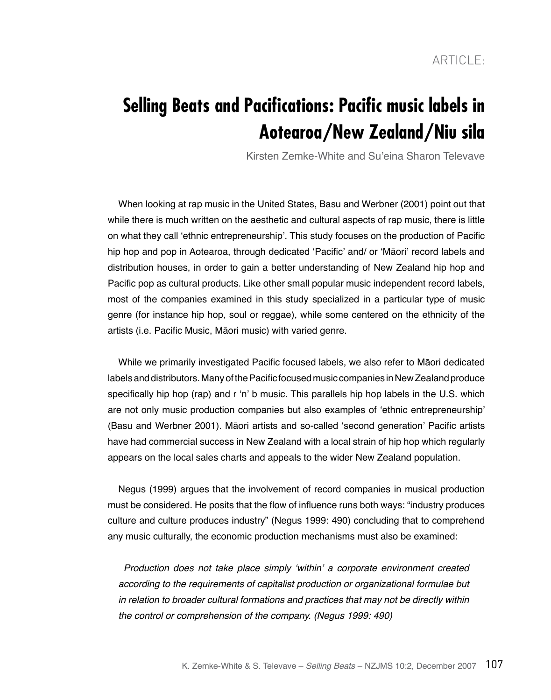**ARTICLE:** 

# **Selling Beats and Pacifications: Pacific music labels in Aotearoa/New Zealand/Niu sila**

Kirsten Zemke-White and Su'eina Sharon Televave

When looking at rap music in the United States, Basu and Werbner (2001) point out that while there is much written on the aesthetic and cultural aspects of rap music, there is little on what they call 'ethnic entrepreneurship'. This study focuses on the production of Pacific hip hop and pop in Aotearoa, through dedicated 'Pacific' and/ or 'Māori' record labels and distribution houses, in order to gain a better understanding of New Zealand hip hop and Pacific pop as cultural products. Like other small popular music independent record labels, most of the companies examined in this study specialized in a particular type of music genre (for instance hip hop, soul or reggae), while some centered on the ethnicity of the artists (i.e. Pacific Music, Māori music) with varied genre.

While we primarily investigated Pacific focused labels, we also refer to Māori dedicated labels and distributors. Many of the Pacific focused music companies in New Zealand produce specifically hip hop (rap) and r 'n' b music. This parallels hip hop labels in the U.S. which are not only music production companies but also examples of 'ethnic entrepreneurship' (Basu and Werbner 2001). Māori artists and so-called 'second generation' Pacific artists have had commercial success in New Zealand with a local strain of hip hop which regularly appears on the local sales charts and appeals to the wider New Zealand population.

Negus (1999) argues that the involvement of record companies in musical production must be considered. He posits that the flow of influence runs both ways: "industry produces culture and culture produces industry" (Negus 1999: 490) concluding that to comprehend any music culturally, the economic production mechanisms must also be examined:

Production does not take place simply 'within' a corporate environment created according to the requirements of capitalist production or organizational formulae but in relation to broader cultural formations and practices that may not be directly within the control or comprehension of the company. (Negus 1999: 490)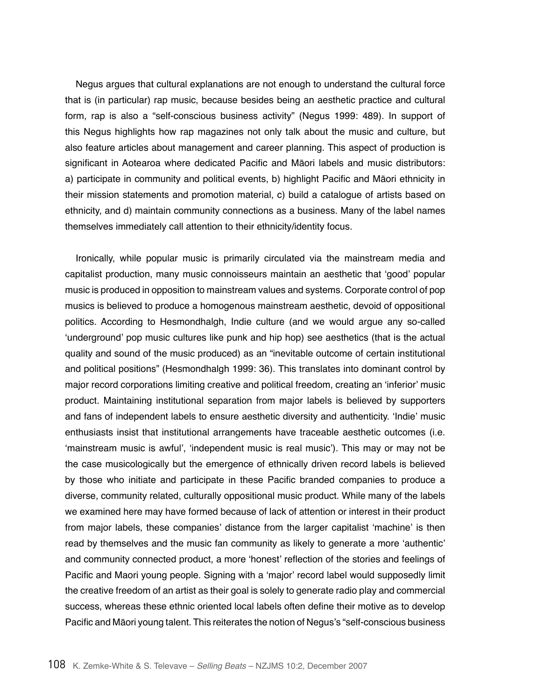Negus argues that cultural explanations are not enough to understand the cultural force that is (in particular) rap music, because besides being an aesthetic practice and cultural form, rap is also a "self-conscious business activity" (Negus 1999: 489). In support of this Negus highlights how rap magazines not only talk about the music and culture, but also feature articles about management and career planning. This aspect of production is significant in Aotearoa where dedicated Pacific and Māori labels and music distributors: a) participate in community and political events, b) highlight Pacific and Māori ethnicity in their mission statements and promotion material, c) build a catalogue of artists based on ethnicity, and d) maintain community connections as a business. Many of the label names themselves immediately call attention to their ethnicity/identity focus.

Ironically, while popular music is primarily circulated via the mainstream media and capitalist production, many music connoisseurs maintain an aesthetic that 'good' popular music is produced in opposition to mainstream values and systems. Corporate control of pop musics is believed to produce a homogenous mainstream aesthetic, devoid of oppositional politics. According to Hesmondhalgh, Indie culture (and we would argue any so-called 'underground' pop music cultures like punk and hip hop) see aesthetics (that is the actual quality and sound of the music produced) as an "inevitable outcome of certain institutional and political positions" (Hesmondhalgh 1999: 36). This translates into dominant control by major record corporations limiting creative and political freedom, creating an 'inferior' music product. Maintaining institutional separation from major labels is believed by supporters and fans of independent labels to ensure aesthetic diversity and authenticity. 'Indie' music enthusiasts insist that institutional arrangements have traceable aesthetic outcomes (i.e. 'mainstream music is awful', 'independent music is real music'). This may or may not be the case musicologically but the emergence of ethnically driven record labels is believed by those who initiate and participate in these Pacific branded companies to produce a diverse, community related, culturally oppositional music product. While many of the labels we examined here may have formed because of lack of attention or interest in their product from major labels, these companies' distance from the larger capitalist 'machine' is then read by themselves and the music fan community as likely to generate a more 'authentic' and community connected product, a more 'honest' reflection of the stories and feelings of Pacific and Maori young people. Signing with a 'major' record label would supposedly limit the creative freedom of an artist as their goal is solely to generate radio play and commercial success, whereas these ethnic oriented local labels often define their motive as to develop Pacific and Māori young talent. This reiterates the notion of Negus's "self-conscious business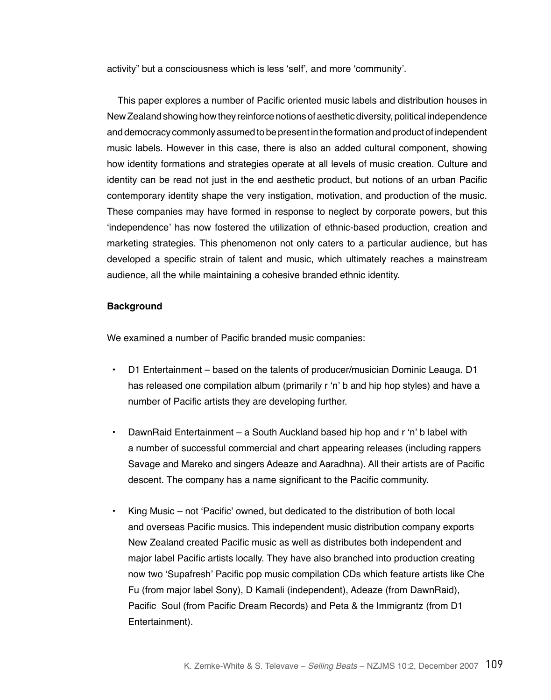activity" but a consciousness which is less 'self', and more 'community'.

This paper explores a number of Pacific oriented music labels and distribution houses in New Zealand showing how they reinforce notions of aesthetic diversity, political independence and democracy commonly assumed to be present in the formation and product of independent music labels. However in this case, there is also an added cultural component, showing how identity formations and strategies operate at all levels of music creation. Culture and identity can be read not just in the end aesthetic product, but notions of an urban Pacific contemporary identity shape the very instigation, motivation, and production of the music. These companies may have formed in response to neglect by corporate powers, but this 'independence' has now fostered the utilization of ethnic-based production, creation and marketing strategies. This phenomenon not only caters to a particular audience, but has developed a specific strain of talent and music, which ultimately reaches a mainstream audience, all the while maintaining a cohesive branded ethnic identity.

### **Background**

We examined a number of Pacific branded music companies:

- D1 Entertainment based on the talents of producer/musician Dominic Leauga. D1 has released one compilation album (primarily r 'n' b and hip hop styles) and have a number of Pacific artists they are developing further.
- DawnRaid Entertainment a South Auckland based hip hop and r 'n' b label with a number of successful commercial and chart appearing releases (including rappers Savage and Mareko and singers Adeaze and Aaradhna). All their artists are of Pacific descent. The company has a name significant to the Pacific community.
- King Music not 'Pacific' owned, but dedicated to the distribution of both local and overseas Pacific musics. This independent music distribution company exports New Zealand created Pacific music as well as distributes both independent and major label Pacific artists locally. They have also branched into production creating now two 'Supafresh' Pacific pop music compilation CDs which feature artists like Che Fu (from major label Sony), D Kamali (independent), Adeaze (from DawnRaid), Pacific Soul (from Pacific Dream Records) and Peta & the Immigrantz (from D1 Entertainment).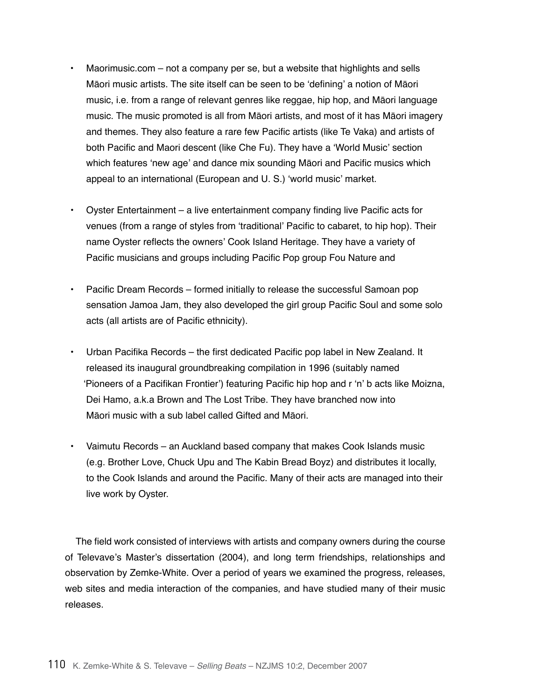- Maorimusic.com not a company per se, but a website that highlights and sells Māori music artists. The site itself can be seen to be 'defining' a notion of Māori music, i.e. from a range of relevant genres like reggae, hip hop, and Māori language music. The music promoted is all from Māori artists, and most of it has Māori imagery and themes. They also feature a rare few Pacific artists (like Te Vaka) and artists of both Pacific and Maori descent (like Che Fu). They have a 'World Music' section which features 'new age' and dance mix sounding Māori and Pacific musics which appeal to an international (European and U. S.) 'world music' market.
- Oyster Entertainment a live entertainment company finding live Pacific acts for venues (from a range of styles from 'traditional' Pacific to cabaret, to hip hop). Their name Oyster reflects the owners' Cook Island Heritage. They have a variety of Pacific musicians and groups including Pacific Pop group Fou Nature and
- Pacific Dream Records formed initially to release the successful Samoan pop sensation Jamoa Jam, they also developed the girl group Pacific Soul and some solo acts (all artists are of Pacific ethnicity).
- Urban Pacifika Records the first dedicated Pacific pop label in New Zealand. It released its inaugural groundbreaking compilation in 1996 (suitably named 'Pioneers of a Pacifikan Frontier') featuring Pacific hip hop and r 'n' b acts like Moizna, Dei Hamo, a.k.a Brown and The Lost Tribe. They have branched now into Māori music with a sub label called Gifted and Māori.
- Vaimutu Records an Auckland based company that makes Cook Islands music (e.g. Brother Love, Chuck Upu and The Kabin Bread Boyz) and distributes it locally, to the Cook Islands and around the Pacific. Many of their acts are managed into their live work by Oyster.

The field work consisted of interviews with artists and company owners during the course of Televave's Master's dissertation (2004), and long term friendships, relationships and observation by Zemke-White. Over a period of years we examined the progress, releases, web sites and media interaction of the companies, and have studied many of their music releases.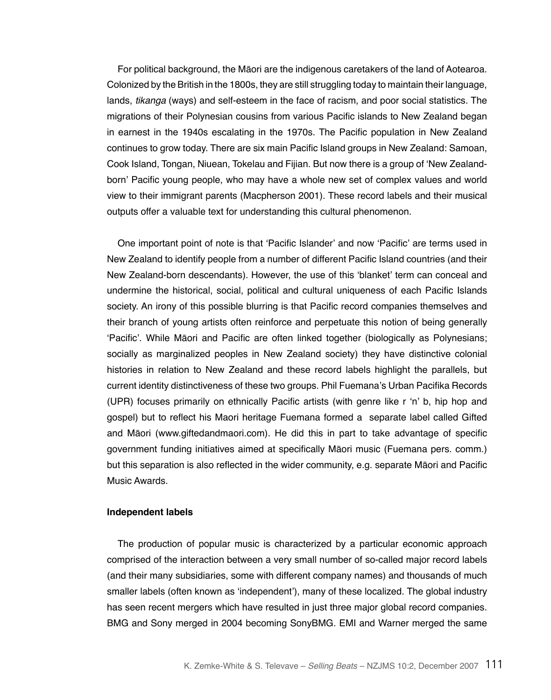For political background, the Māori are the indigenous caretakers of the land of Aotearoa. Colonized by the British in the 1800s, they are still struggling today to maintain their language, lands, tikanga (ways) and self-esteem in the face of racism, and poor social statistics. The migrations of their Polynesian cousins from various Pacific islands to New Zealand began in earnest in the 1940s escalating in the 1970s. The Pacific population in New Zealand continues to grow today. There are six main Pacific Island groups in New Zealand: Samoan, Cook Island, Tongan, Niuean, Tokelau and Fijian. But now there is a group of 'New Zealandborn' Pacific young people, who may have a whole new set of complex values and world view to their immigrant parents (Macpherson 2001). These record labels and their musical outputs offer a valuable text for understanding this cultural phenomenon.

One important point of note is that 'Pacific Islander' and now 'Pacific' are terms used in New Zealand to identify people from a number of different Pacific Island countries (and their New Zealand-born descendants). However, the use of this 'blanket' term can conceal and undermine the historical, social, political and cultural uniqueness of each Pacific Islands society. An irony of this possible blurring is that Pacific record companies themselves and their branch of young artists often reinforce and perpetuate this notion of being generally 'Pacific'. While Māori and Pacific are often linked together (biologically as Polynesians; socially as marginalized peoples in New Zealand society) they have distinctive colonial histories in relation to New Zealand and these record labels highlight the parallels, but current identity distinctiveness of these two groups. Phil Fuemana's Urban Pacifika Records (UPR) focuses primarily on ethnically Pacific artists (with genre like r 'n' b, hip hop and gospel) but to reflect his Maori heritage Fuemana formed a separate label called Gifted and Māori (www.giftedandmaori.com). He did this in part to take advantage of specific government funding initiatives aimed at specifically Māori music (Fuemana pers. comm.) but this separation is also reflected in the wider community, e.g. separate Māori and Pacific Music Awards.

#### **Independent labels**

The production of popular music is characterized by a particular economic approach comprised of the interaction between a very small number of so-called major record labels (and their many subsidiaries, some with different company names) and thousands of much smaller labels (often known as 'independent'), many of these localized. The global industry has seen recent mergers which have resulted in just three major global record companies. BMG and Sony merged in 2004 becoming SonyBMG. EMI and Warner merged the same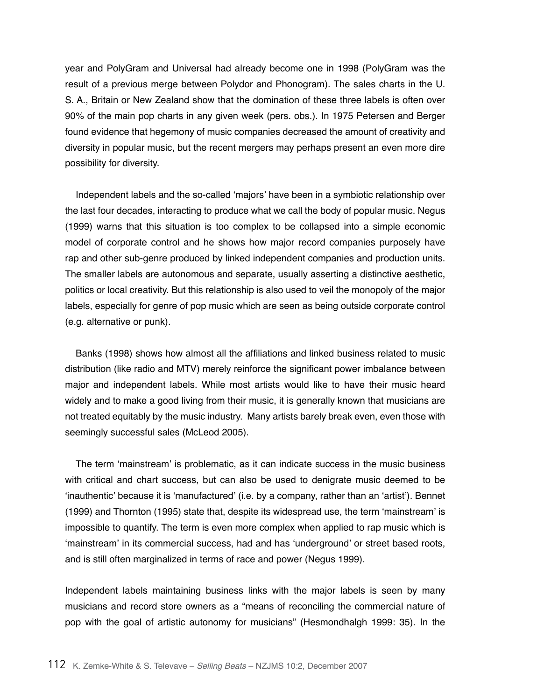year and PolyGram and Universal had already become one in 1998 (PolyGram was the result of a previous merge between Polydor and Phonogram). The sales charts in the U. S. A., Britain or New Zealand show that the domination of these three labels is often over 90% of the main pop charts in any given week (pers. obs.). In 1975 Petersen and Berger found evidence that hegemony of music companies decreased the amount of creativity and diversity in popular music, but the recent mergers may perhaps present an even more dire possibility for diversity.

Independent labels and the so-called 'majors' have been in a symbiotic relationship over the last four decades, interacting to produce what we call the body of popular music. Negus (1999) warns that this situation is too complex to be collapsed into a simple economic model of corporate control and he shows how major record companies purposely have rap and other sub-genre produced by linked independent companies and production units. The smaller labels are autonomous and separate, usually asserting a distinctive aesthetic, politics or local creativity. But this relationship is also used to veil the monopoly of the major labels, especially for genre of pop music which are seen as being outside corporate control (e.g. alternative or punk).

Banks (1998) shows how almost all the affiliations and linked business related to music distribution (like radio and MTV) merely reinforce the significant power imbalance between major and independent labels. While most artists would like to have their music heard widely and to make a good living from their music, it is generally known that musicians are not treated equitably by the music industry. Many artists barely break even, even those with seemingly successful sales (McLeod 2005).

The term 'mainstream' is problematic, as it can indicate success in the music business with critical and chart success, but can also be used to denigrate music deemed to be 'inauthentic' because it is 'manufactured' (i.e. by a company, rather than an 'artist'). Bennet (1999) and Thornton (1995) state that, despite its widespread use, the term 'mainstream' is impossible to quantify. The term is even more complex when applied to rap music which is 'mainstream' in its commercial success, had and has 'underground' or street based roots, and is still often marginalized in terms of race and power (Negus 1999).

Independent labels maintaining business links with the major labels is seen by many musicians and record store owners as a "means of reconciling the commercial nature of pop with the goal of artistic autonomy for musicians" (Hesmondhalgh 1999: 35). In the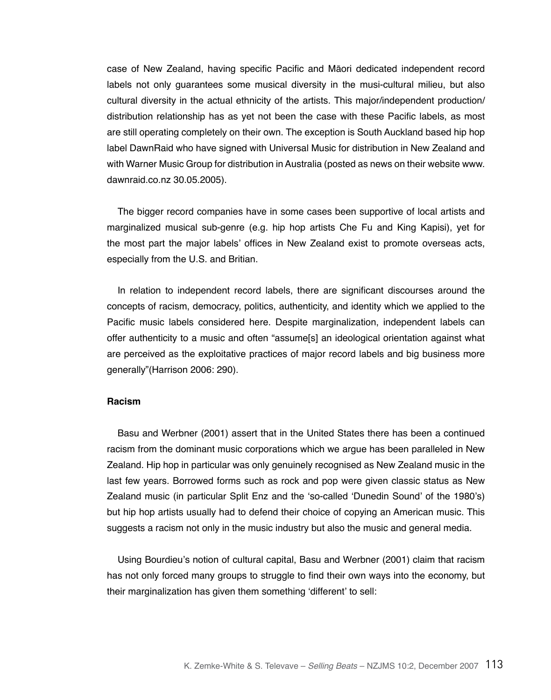case of New Zealand, having specific Pacific and Māori dedicated independent record labels not only guarantees some musical diversity in the musi-cultural milieu, but also cultural diversity in the actual ethnicity of the artists. This major/independent production/ distribution relationship has as yet not been the case with these Pacific labels, as most are still operating completely on their own. The exception is South Auckland based hip hop label DawnRaid who have signed with Universal Music for distribution in New Zealand and with Warner Music Group for distribution in Australia (posted as news on their website www. dawnraid.co.nz 30.05.2005).

The bigger record companies have in some cases been supportive of local artists and marginalized musical sub-genre (e.g. hip hop artists Che Fu and King Kapisi), yet for the most part the major labels' offices in New Zealand exist to promote overseas acts, especially from the U.S. and Britian.

In relation to independent record labels, there are significant discourses around the concepts of racism, democracy, politics, authenticity, and identity which we applied to the Pacific music labels considered here. Despite marginalization, independent labels can offer authenticity to a music and often "assume[s] an ideological orientation against what are perceived as the exploitative practices of major record labels and big business more generally"(Harrison 2006: 290).

### **Racism**

Basu and Werbner (2001) assert that in the United States there has been a continued racism from the dominant music corporations which we argue has been paralleled in New Zealand. Hip hop in particular was only genuinely recognised as New Zealand music in the last few years. Borrowed forms such as rock and pop were given classic status as New Zealand music (in particular Split Enz and the 'so-called 'Dunedin Sound' of the 1980's) but hip hop artists usually had to defend their choice of copying an American music. This suggests a racism not only in the music industry but also the music and general media.

Using Bourdieu's notion of cultural capital, Basu and Werbner (2001) claim that racism has not only forced many groups to struggle to find their own ways into the economy, but their marginalization has given them something 'different' to sell: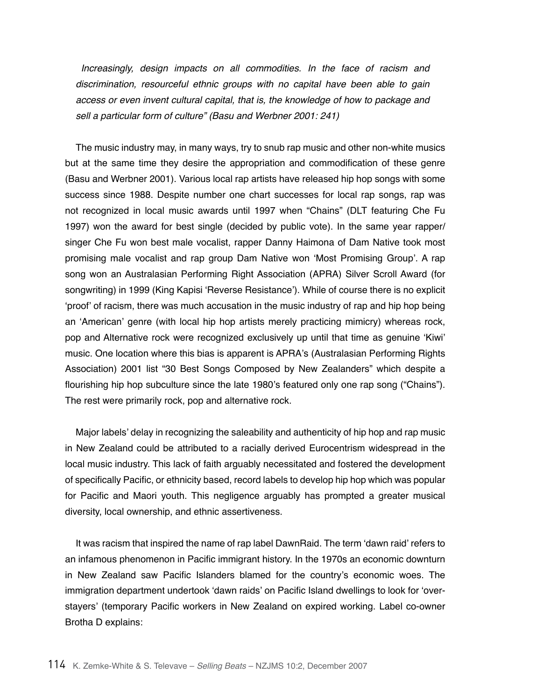Increasingly, design impacts on all commodities. In the face of racism and discrimination, resourceful ethnic groups with no capital have been able to gain access or even invent cultural capital, that is, the knowledge of how to package and sell a particular form of culture" (Basu and Werbner 2001: 241)

The music industry may, in many ways, try to snub rap music and other non-white musics but at the same time they desire the appropriation and commodification of these genre (Basu and Werbner 2001). Various local rap artists have released hip hop songs with some success since 1988. Despite number one chart successes for local rap songs, rap was not recognized in local music awards until 1997 when "Chains" (DLT featuring Che Fu 1997) won the award for best single (decided by public vote). In the same year rapper/ singer Che Fu won best male vocalist, rapper Danny Haimona of Dam Native took most promising male vocalist and rap group Dam Native won 'Most Promising Group'. A rap song won an Australasian Performing Right Association (APRA) Silver Scroll Award (for songwriting) in 1999 (King Kapisi 'Reverse Resistance'). While of course there is no explicit 'proof' of racism, there was much accusation in the music industry of rap and hip hop being an 'American' genre (with local hip hop artists merely practicing mimicry) whereas rock, pop and Alternative rock were recognized exclusively up until that time as genuine 'Kiwi' music. One location where this bias is apparent is APRA's (Australasian Performing Rights Association) 2001 list "30 Best Songs Composed by New Zealanders" which despite a flourishing hip hop subculture since the late 1980's featured only one rap song ("Chains"). The rest were primarily rock, pop and alternative rock.

Major labels' delay in recognizing the saleability and authenticity of hip hop and rap music in New Zealand could be attributed to a racially derived Eurocentrism widespread in the local music industry. This lack of faith arguably necessitated and fostered the development of specifically Pacific, or ethnicity based, record labels to develop hip hop which was popular for Pacific and Maori youth. This negligence arguably has prompted a greater musical diversity, local ownership, and ethnic assertiveness.

It was racism that inspired the name of rap label DawnRaid. The term 'dawn raid' refers to an infamous phenomenon in Pacific immigrant history. In the 1970s an economic downturn in New Zealand saw Pacific Islanders blamed for the country's economic woes. The immigration department undertook 'dawn raids' on Pacific Island dwellings to look for 'overstayers' (temporary Pacific workers in New Zealand on expired working. Label co-owner Brotha D explains: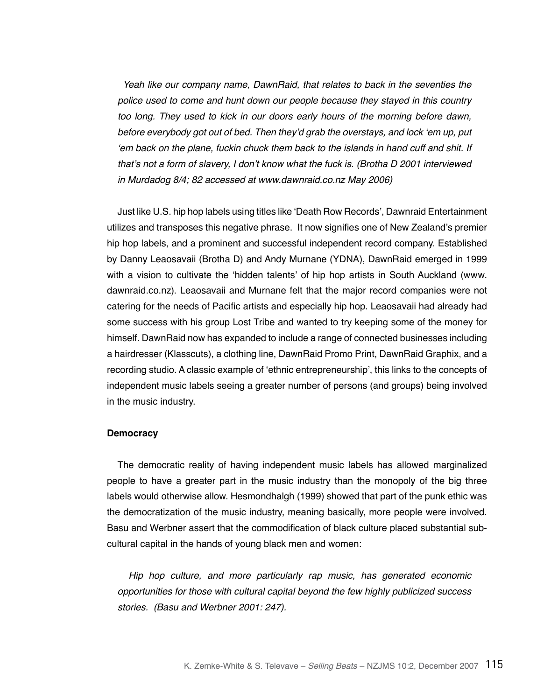Yeah like our company name, DawnRaid, that relates to back in the seventies the police used to come and hunt down our people because they stayed in this country too long. They used to kick in our doors early hours of the morning before dawn, before everybody got out of bed. Then they'd grab the overstays, and lock 'em up, put 'em back on the plane, fuckin chuck them back to the islands in hand cuff and shit. If that's not a form of slavery, I don't know what the fuck is. (Brotha D 2001 interviewed in Murdadog 8/4; 82 accessed at www.dawnraid.co.nz May 2006)

Just like U.S. hip hop labels using titles like 'Death Row Records', Dawnraid Entertainment utilizes and transposes this negative phrase. It now signifies one of New Zealand's premier hip hop labels, and a prominent and successful independent record company. Established by Danny Leaosavaii (Brotha D) and Andy Murnane (YDNA), DawnRaid emerged in 1999 with a vision to cultivate the 'hidden talents' of hip hop artists in South Auckland (www. dawnraid.co.nz). Leaosavaii and Murnane felt that the major record companies were not catering for the needs of Pacific artists and especially hip hop. Leaosavaii had already had some success with his group Lost Tribe and wanted to try keeping some of the money for himself. DawnRaid now has expanded to include a range of connected businesses including a hairdresser (Klasscuts), a clothing line, DawnRaid Promo Print, DawnRaid Graphix, and a recording studio. A classic example of 'ethnic entrepreneurship', this links to the concepts of independent music labels seeing a greater number of persons (and groups) being involved in the music industry.

#### **Democracy**

The democratic reality of having independent music labels has allowed marginalized people to have a greater part in the music industry than the monopoly of the big three labels would otherwise allow. Hesmondhalgh (1999) showed that part of the punk ethic was the democratization of the music industry, meaning basically, more people were involved. Basu and Werbner assert that the commodification of black culture placed substantial subcultural capital in the hands of young black men and women:

Hip hop culture, and more particularly rap music, has generated economic opportunities for those with cultural capital beyond the few highly publicized success stories. (Basu and Werbner 2001: 247).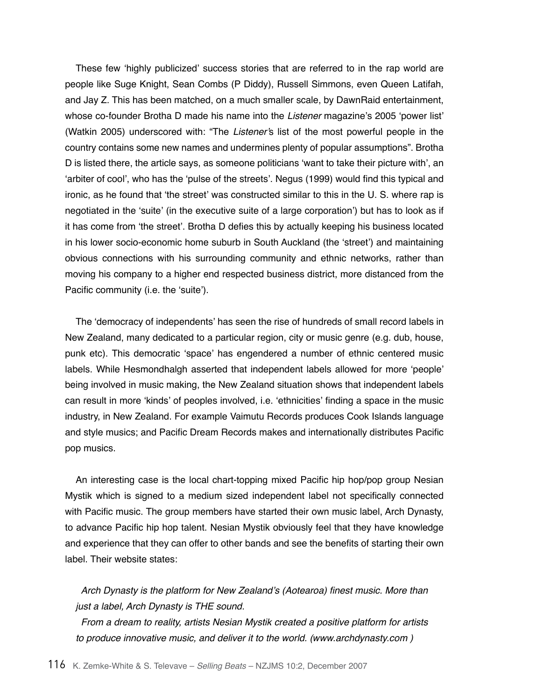These few 'highly publicized' success stories that are referred to in the rap world are people like Suge Knight, Sean Combs (P Diddy), Russell Simmons, even Queen Latifah, and Jay Z. This has been matched, on a much smaller scale, by DawnRaid entertainment, whose co-founder Brotha D made his name into the *Listener* magazine's 2005 'power list' (Watkin 2005) underscored with: "The Listener's list of the most powerful people in the country contains some new names and undermines plenty of popular assumptions". Brotha D is listed there, the article says, as someone politicians 'want to take their picture with', an 'arbiter of cool', who has the 'pulse of the streets'. Negus (1999) would find this typical and ironic, as he found that 'the street' was constructed similar to this in the U. S. where rap is negotiated in the 'suite' (in the executive suite of a large corporation') but has to look as if it has come from 'the street'. Brotha D defies this by actually keeping his business located in his lower socio-economic home suburb in South Auckland (the 'street') and maintaining obvious connections with his surrounding community and ethnic networks, rather than moving his company to a higher end respected business district, more distanced from the Pacific community (i.e. the 'suite').

The 'democracy of independents' has seen the rise of hundreds of small record labels in New Zealand, many dedicated to a particular region, city or music genre (e.g. dub, house, punk etc). This democratic 'space' has engendered a number of ethnic centered music labels. While Hesmondhalgh asserted that independent labels allowed for more 'people' being involved in music making, the New Zealand situation shows that independent labels can result in more 'kinds' of peoples involved, i.e. 'ethnicities' finding a space in the music industry, in New Zealand. For example Vaimutu Records produces Cook Islands language and style musics; and Pacific Dream Records makes and internationally distributes Pacific pop musics.

An interesting case is the local chart-topping mixed Pacific hip hop/pop group Nesian Mystik which is signed to a medium sized independent label not specifically connected with Pacific music. The group members have started their own music label, Arch Dynasty, to advance Pacific hip hop talent. Nesian Mystik obviously feel that they have knowledge and experience that they can offer to other bands and see the benefits of starting their own label. Their website states:

# Arch Dynasty is the platform for New Zealand's (Aotearoa) finest music. More than just a label, Arch Dynasty is THE sound.

From a dream to reality, artists Nesian Mystik created a positive platform for artists to produce innovative music, and deliver it to the world. (www.archdynasty.co*m* )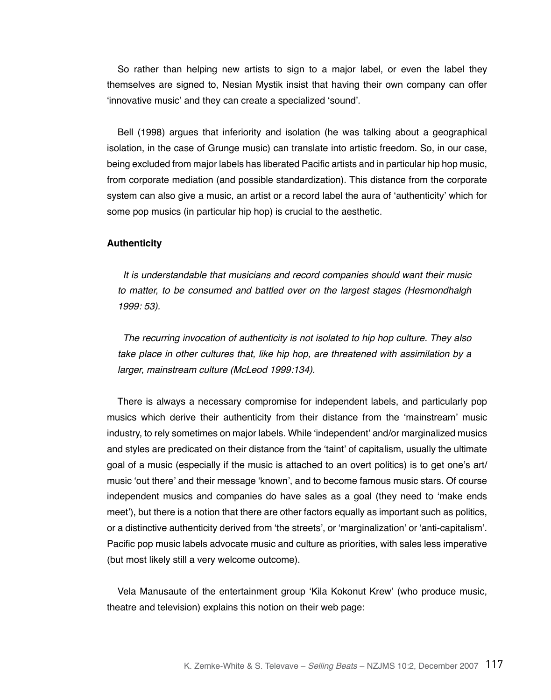So rather than helping new artists to sign to a major label, or even the label they themselves are signed to, Nesian Mystik insist that having their own company can offer 'innovative music' and they can create a specialized 'sound'.

Bell (1998) argues that inferiority and isolation (he was talking about a geographical isolation, in the case of Grunge music) can translate into artistic freedom. So, in our case, being excluded from major labels has liberated Pacific artists and in particular hip hop music, from corporate mediation (and possible standardization). This distance from the corporate system can also give a music, an artist or a record label the aura of 'authenticity' which for some pop musics (in particular hip hop) is crucial to the aesthetic.

#### **Authenticity**

It is understandable that musicians and record companies should want their music to matter, to be consumed and battled over on the largest stages (Hesmondhalgh 1999: 53).

The recurring invocation of authenticity is not isolated to hip hop culture. They also take place in other cultures that, like hip hop, are threatened with assimilation by a larger, mainstream culture (McLeod 1999:134).

There is always a necessary compromise for independent labels, and particularly pop musics which derive their authenticity from their distance from the 'mainstream' music industry, to rely sometimes on major labels. While 'independent' and/or marginalized musics and styles are predicated on their distance from the 'taint' of capitalism, usually the ultimate goal of a music (especially if the music is attached to an overt politics) is to get one's art/ music 'out there' and their message 'known', and to become famous music stars. Of course independent musics and companies do have sales as a goal (they need to 'make ends meet'), but there is a notion that there are other factors equally as important such as politics, or a distinctive authenticity derived from 'the streets', or 'marginalization' or 'anti-capitalism'. Pacific pop music labels advocate music and culture as priorities, with sales less imperative (but most likely still a very welcome outcome).

Vela Manusaute of the entertainment group 'Kila Kokonut Krew' (who produce music, theatre and television) explains this notion on their web page: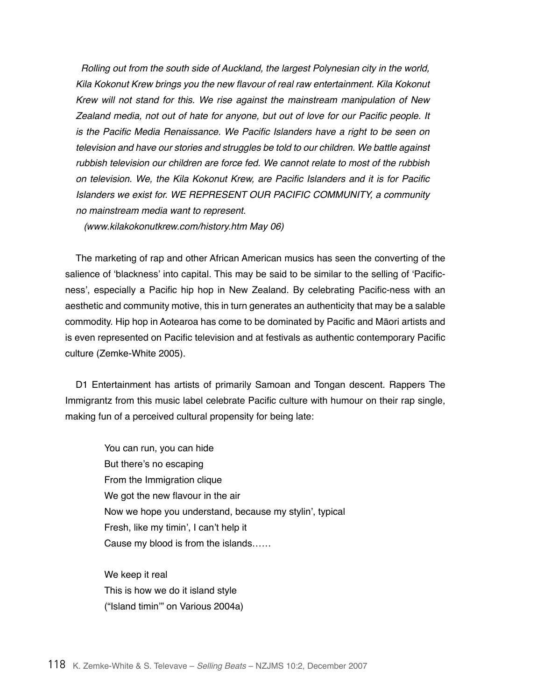Rolling out from the south side of Auckland, the largest Polynesian city in the world, Kila Kokonut Krew brings you the new flavour of real raw entertainment. Kila Kokonut Krew will not stand for this. We rise against the mainstream manipulation of New Zealand media, not out of hate for anyone, but out of love for our Pacific people. It is the Pacific Media Renaissance. We Pacific Islanders have a right to be seen on television and have our stories and struggles be told to our children. We battle against rubbish television our children are force fed. We cannot relate to most of the rubbish on television. We, the Kila Kokonut Krew, are Pacific Islanders and it is for Pacific Islanders we exist for. WE REPRESENT OUR PACIFIC COMMUNITY, a community no mainstream media want to represent.

(www.kilakokonutkrew.com/history.ht*m* May 06)

The marketing of rap and other African American musics has seen the converting of the salience of 'blackness' into capital. This may be said to be similar to the selling of 'Pacificness', especially a Pacific hip hop in New Zealand. By celebrating Pacific-ness with an aesthetic and community motive, this in turn generates an authenticity that may be a salable commodity. Hip hop in Aotearoa has come to be dominated by Pacific and Māori artists and is even represented on Pacific television and at festivals as authentic contemporary Pacific culture (Zemke-White 2005).

D1 Entertainment has artists of primarily Samoan and Tongan descent. Rappers The Immigrantz from this music label celebrate Pacific culture with humour on their rap single, making fun of a perceived cultural propensity for being late:

> You can run, you can hide But there's no escaping From the Immigration clique We got the new flavour in the air Now we hope you understand, because my stylin', typical Fresh, like my timin', I can't help it Cause my blood is from the islands……

We keep it real This is how we do it island style ("Island timin'" on Various 2004a)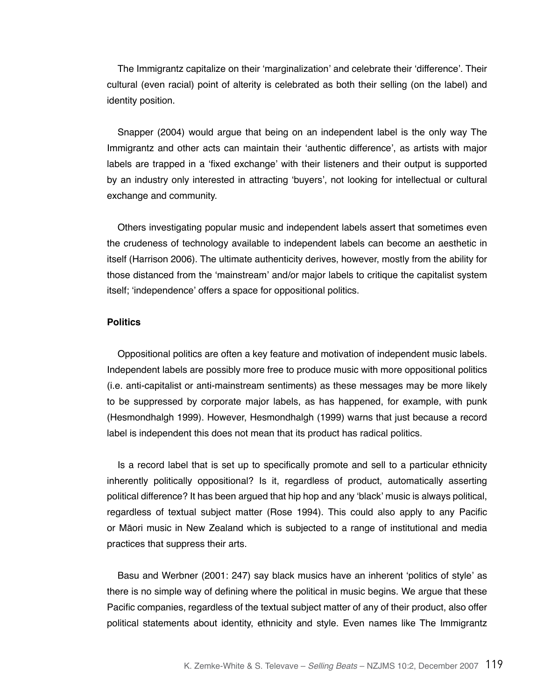The Immigrantz capitalize on their 'marginalization' and celebrate their 'difference'. Their cultural (even racial) point of alterity is celebrated as both their selling (on the label) and identity position.

Snapper (2004) would argue that being on an independent label is the only way The Immigrantz and other acts can maintain their 'authentic difference', as artists with major labels are trapped in a 'fixed exchange' with their listeners and their output is supported by an industry only interested in attracting 'buyers', not looking for intellectual or cultural exchange and community.

Others investigating popular music and independent labels assert that sometimes even the crudeness of technology available to independent labels can become an aesthetic in itself (Harrison 2006). The ultimate authenticity derives, however, mostly from the ability for those distanced from the 'mainstream' and/or major labels to critique the capitalist system itself; 'independence' offers a space for oppositional politics.

# **Politics**

Oppositional politics are often a key feature and motivation of independent music labels. Independent labels are possibly more free to produce music with more oppositional politics (i.e. anti-capitalist or anti-mainstream sentiments) as these messages may be more likely to be suppressed by corporate major labels, as has happened, for example, with punk (Hesmondhalgh 1999). However, Hesmondhalgh (1999) warns that just because a record label is independent this does not mean that its product has radical politics.

Is a record label that is set up to specifically promote and sell to a particular ethnicity inherently politically oppositional? Is it, regardless of product, automatically asserting political difference? It has been argued that hip hop and any 'black' music is always political, regardless of textual subject matter (Rose 1994). This could also apply to any Pacific or Māori music in New Zealand which is subjected to a range of institutional and media practices that suppress their arts.

Basu and Werbner (2001: 247) say black musics have an inherent 'politics of style' as there is no simple way of defining where the political in music begins. We argue that these Pacific companies, regardless of the textual subject matter of any of their product, also offer political statements about identity, ethnicity and style. Even names like The Immigrantz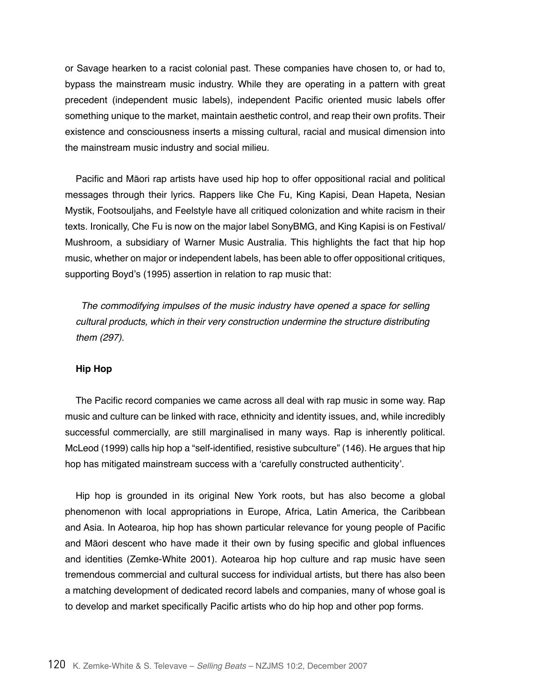or Savage hearken to a racist colonial past. These companies have chosen to, or had to, bypass the mainstream music industry. While they are operating in a pattern with great precedent (independent music labels), independent Pacific oriented music labels offer something unique to the market, maintain aesthetic control, and reap their own profits. Their existence and consciousness inserts a missing cultural, racial and musical dimension into the mainstream music industry and social milieu.

Pacific and Māori rap artists have used hip hop to offer oppositional racial and political messages through their lyrics. Rappers like Che Fu, King Kapisi, Dean Hapeta, Nesian Mystik, Footsouljahs, and Feelstyle have all critiqued colonization and white racism in their texts. Ironically, Che Fu is now on the major label SonyBMG, and King Kapisi is on Festival/ Mushroom, a subsidiary of Warner Music Australia. This highlights the fact that hip hop music, whether on major or independent labels, has been able to offer oppositional critiques, supporting Boyd's (1995) assertion in relation to rap music that:

The commodifying impulses of the music industry have opened a space for selling cultural products, which in their very construction undermine the structure distributing them (297).

# **Hip Hop**

The Pacific record companies we came across all deal with rap music in some way. Rap music and culture can be linked with race, ethnicity and identity issues, and, while incredibly successful commercially, are still marginalised in many ways. Rap is inherently political. McLeod (1999) calls hip hop a "self-identified, resistive subculture" (146). He argues that hip hop has mitigated mainstream success with a 'carefully constructed authenticity'.

Hip hop is grounded in its original New York roots, but has also become a global phenomenon with local appropriations in Europe, Africa, Latin America, the Caribbean and Asia. In Aotearoa, hip hop has shown particular relevance for young people of Pacific and Māori descent who have made it their own by fusing specific and global influences and identities (Zemke-White 2001). Aotearoa hip hop culture and rap music have seen tremendous commercial and cultural success for individual artists, but there has also been a matching development of dedicated record labels and companies, many of whose goal is to develop and market specifically Pacific artists who do hip hop and other pop forms.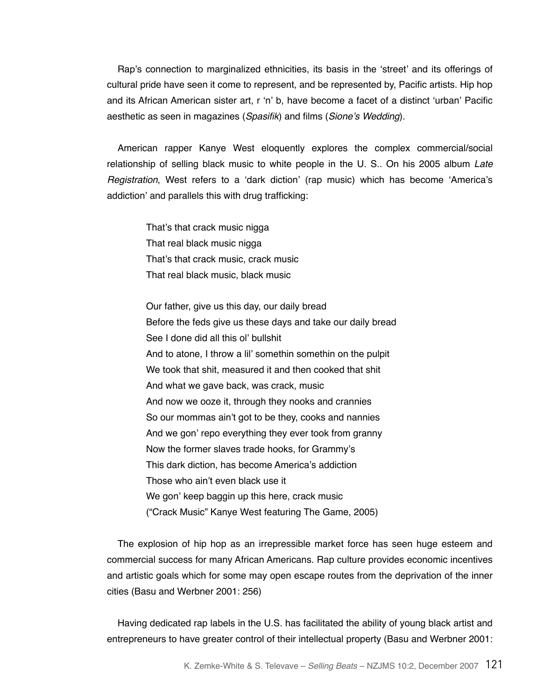Rap's connection to marginalized ethnicities, its basis in the 'street' and its offerings of cultural pride have seen it come to represent, and be represented by, Pacific artists. Hip hop and its African American sister art, r 'n' b, have become a facet of a distinct 'urban' Pacific aesthetic as seen in magazines (Spasifik) and films (Sione's Wedding).

American rapper Kanye West eloquently explores the complex commercial/social relationship of selling black music to white people in the U. S.. On his 2005 album *Late*  Registration, West refers to a 'dark diction' (rap music) which has become 'America's addiction' and parallels this with drug trafficking:

> That's that crack music nigga That real black music nigga That's that crack music, crack music That real black music, black music

Our father, give us this day, our daily bread Before the feds give us these days and take our daily bread See I done did all this ol' bullshit And to atone, I throw a lil' somethin somethin on the pulpit We took that shit, measured it and then cooked that shit And what we gave back, was crack, music And now we ooze it, through they nooks and crannies So our mommas ain't got to be they, cooks and nannies And we gon' repo everything they ever took from granny Now the former slaves trade hooks, for Grammy's This dark diction, has become America's addiction Those who ain't even black use it We gon' keep baggin up this here, crack music ("Crack Music" Kanye West featuring The Game, 2005)

The explosion of hip hop as an irrepressible market force has seen huge esteem and commercial success for many African Americans. Rap culture provides economic incentives and artistic goals which for some may open escape routes from the deprivation of the inner cities (Basu and Werbner 2001: 256)

Having dedicated rap labels in the U.S. has facilitated the ability of young black artist and entrepreneurs to have greater control of their intellectual property (Basu and Werbner 2001: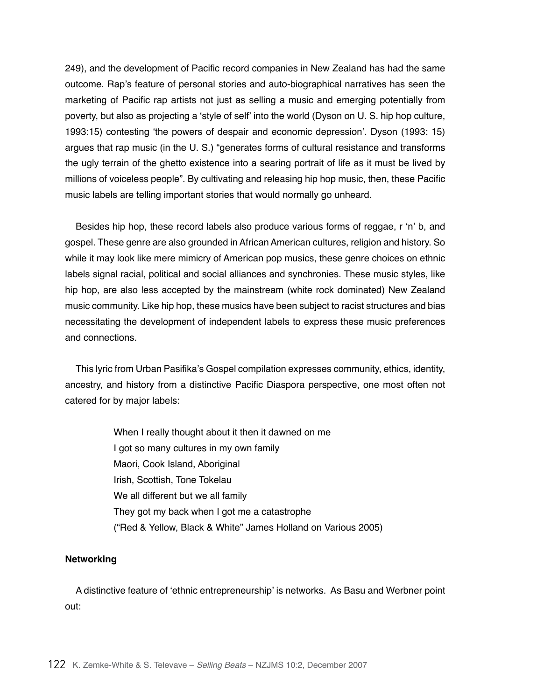249), and the development of Pacific record companies in New Zealand has had the same outcome. Rap's feature of personal stories and auto-biographical narratives has seen the marketing of Pacific rap artists not just as selling a music and emerging potentially from poverty, but also as projecting a 'style of self' into the world (Dyson on U. S. hip hop culture, 1993:15) contesting 'the powers of despair and economic depression'. Dyson (1993: 15) argues that rap music (in the U. S.) "generates forms of cultural resistance and transforms the ugly terrain of the ghetto existence into a searing portrait of life as it must be lived by millions of voiceless people". By cultivating and releasing hip hop music, then, these Pacific music labels are telling important stories that would normally go unheard.

Besides hip hop, these record labels also produce various forms of reggae, r 'n' b, and gospel. These genre are also grounded in African American cultures, religion and history. So while it may look like mere mimicry of American pop musics, these genre choices on ethnic labels signal racial, political and social alliances and synchronies. These music styles, like hip hop, are also less accepted by the mainstream (white rock dominated) New Zealand music community. Like hip hop, these musics have been subject to racist structures and bias necessitating the development of independent labels to express these music preferences and connections.

This lyric from Urban Pasifika's Gospel compilation expresses community, ethics, identity, ancestry, and history from a distinctive Pacific Diaspora perspective, one most often not catered for by major labels:

> When I really thought about it then it dawned on me I got so many cultures in my own family Maori, Cook Island, Aboriginal Irish, Scottish, Tone Tokelau We all different but we all family They got my back when I got me a catastrophe ("Red & Yellow, Black & White" James Holland on Various 2005)

#### **Networking**

A distinctive feature of 'ethnic entrepreneurship' is networks. As Basu and Werbner point out: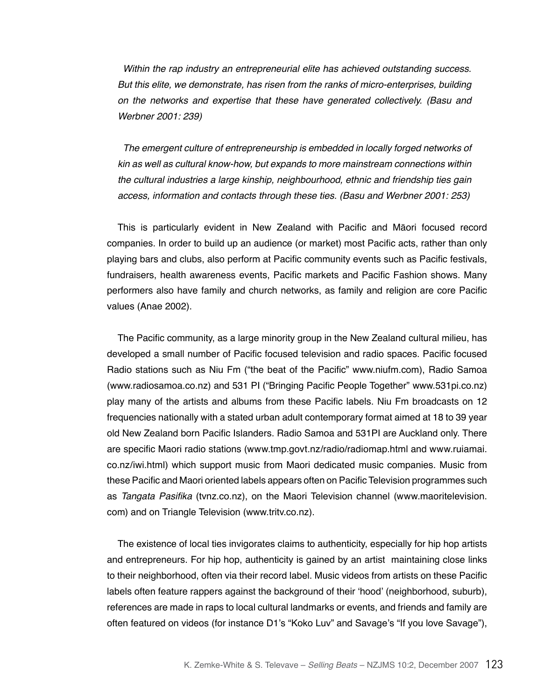Within the rap industry an entrepreneurial elite has achieved outstanding success. But this elite, we demonstrate, has risen from the ranks of micro-enterprises, building on the networks and expertise that these have generated collectively. (Basu and Werbner 2001: 239)

The emergent culture of entrepreneurship is embedded in locally forged networks of kin as well as cultural know-how, but expands to more mainstream connections within the cultural industries a large kinship, neighbourhood, ethnic and friendship ties gain access, information and contacts through these ties. (Basu and Werbner 2001: 253)

This is particularly evident in New Zealand with Pacific and Māori focused record companies. In order to build up an audience (or market) most Pacific acts, rather than only playing bars and clubs, also perform at Pacific community events such as Pacific festivals, fundraisers, health awareness events, Pacific markets and Pacific Fashion shows. Many performers also have family and church networks, as family and religion are core Pacific values (Anae 2002).

The Pacific community, as a large minority group in the New Zealand cultural milieu, has developed a small number of Pacific focused television and radio spaces. Pacific focused Radio stations such as Niu Fm ("the beat of the Pacific" www.niufm.com), Radio Samoa (www.radiosamoa.co.nz) and 531 PI ("Bringing Pacific People Together" www.531pi.co.nz) play many of the artists and albums from these Pacific labels. Niu Fm broadcasts on 12 frequencies nationally with a stated urban adult contemporary format aimed at 18 to 39 year old New Zealand born Pacific Islanders. Radio Samoa and 531PI are Auckland only. There are specific Maori radio stations (www.tmp.govt.nz/radio/radiomap.html and www.ruiamai. co.nz/iwi.html) which support music from Maori dedicated music companies. Music from these Pacific and Maori oriented labels appears often on Pacific Television programmes such as Tangata Pasifika (tvnz.co.nz), on the Maori Television channel (www.maoritelevision. com) and on Triangle Television (www.tritv.co.nz).

The existence of local ties invigorates claims to authenticity, especially for hip hop artists and entrepreneurs. For hip hop, authenticity is gained by an artist maintaining close links to their neighborhood, often via their record label. Music videos from artists on these Pacific labels often feature rappers against the background of their 'hood' (neighborhood, suburb), references are made in raps to local cultural landmarks or events, and friends and family are often featured on videos (for instance D1's "Koko Luv" and Savage's "If you love Savage"),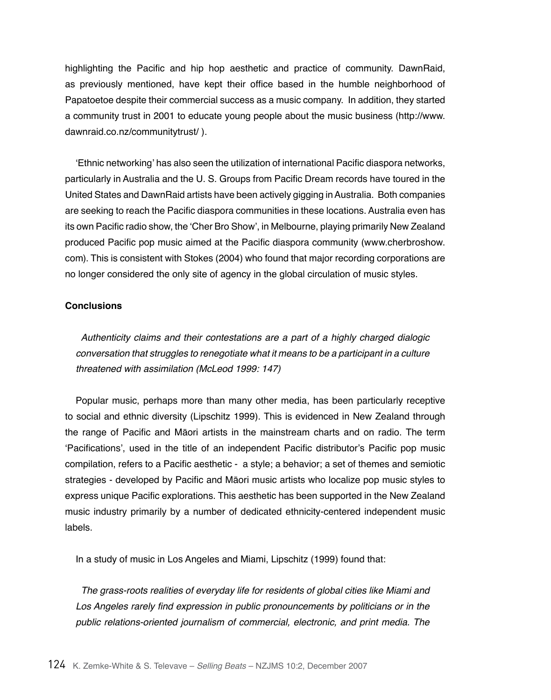highlighting the Pacific and hip hop aesthetic and practice of community. DawnRaid, as previously mentioned, have kept their office based in the humble neighborhood of Papatoetoe despite their commercial success as a music company. In addition, they started a community trust in 2001 to educate young people about the music business (http://www. dawnraid.co.nz/communitytrust/ ).

'Ethnic networking' has also seen the utilization of international Pacific diaspora networks, particularly in Australia and the U. S. Groups from Pacific Dream records have toured in the United States and DawnRaid artists have been actively gigging in Australia. Both companies are seeking to reach the Pacific diaspora communities in these locations. Australia even has its own Pacific radio show, the 'Cher Bro Show', in Melbourne, playing primarily New Zealand produced Pacific pop music aimed at the Pacific diaspora community (www.cherbroshow. com). This is consistent with Stokes (2004) who found that major recording corporations are no longer considered the only site of agency in the global circulation of music styles.

#### **Conclusions**

Authenticity claims and their contestations are a part of a highly charged dialogic conversation that struggles to renegotiate what it means to be a participant in a culture threatened with assimilation (McLeod 1999: 147)

Popular music, perhaps more than many other media, has been particularly receptive to social and ethnic diversity (Lipschitz 1999). This is evidenced in New Zealand through the range of Pacific and Māori artists in the mainstream charts and on radio. The term 'Pacifications', used in the title of an independent Pacific distributor's Pacific pop music compilation, refers to a Pacific aesthetic - a style; a behavior; a set of themes and semiotic strategies - developed by Pacific and Māori music artists who localize pop music styles to express unique Pacific explorations. This aesthetic has been supported in the New Zealand music industry primarily by a number of dedicated ethnicity-centered independent music labels.

In a study of music in Los Angeles and Miami, Lipschitz (1999) found that:

The grass-roots realities of everyday life for residents of global cities like Miami and Los Angeles rarely find expression in public pronouncements by politicians or in the public relations-oriented journalism of commercial, electronic, and print media. The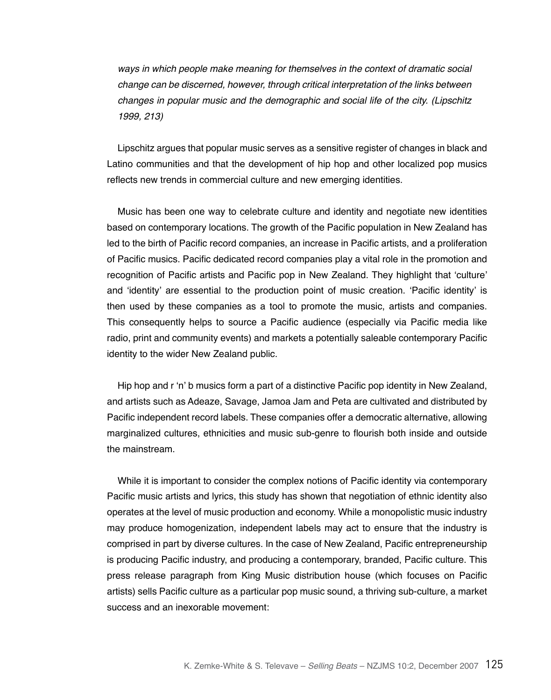ways in which people make meaning for themselves in the context of dramatic social change can be discerned, however, through critical interpretation of the links between changes in popular music and the demographic and social life of the city. (Lipschitz 1999, 213)

Lipschitz argues that popular music serves as a sensitive register of changes in black and Latino communities and that the development of hip hop and other localized pop musics reflects new trends in commercial culture and new emerging identities.

Music has been one way to celebrate culture and identity and negotiate new identities based on contemporary locations. The growth of the Pacific population in New Zealand has led to the birth of Pacific record companies, an increase in Pacific artists, and a proliferation of Pacific musics. Pacific dedicated record companies play a vital role in the promotion and recognition of Pacific artists and Pacific pop in New Zealand. They highlight that 'culture' and 'identity' are essential to the production point of music creation. 'Pacific identity' is then used by these companies as a tool to promote the music, artists and companies. This consequently helps to source a Pacific audience (especially via Pacific media like radio, print and community events) and markets a potentially saleable contemporary Pacific identity to the wider New Zealand public.

Hip hop and r 'n' b musics form a part of a distinctive Pacific pop identity in New Zealand, and artists such as Adeaze, Savage, Jamoa Jam and Peta are cultivated and distributed by Pacific independent record labels. These companies offer a democratic alternative, allowing marginalized cultures, ethnicities and music sub-genre to flourish both inside and outside the mainstream.

While it is important to consider the complex notions of Pacific identity via contemporary Pacific music artists and lyrics, this study has shown that negotiation of ethnic identity also operates at the level of music production and economy. While a monopolistic music industry may produce homogenization, independent labels may act to ensure that the industry is comprised in part by diverse cultures. In the case of New Zealand, Pacific entrepreneurship is producing Pacific industry, and producing a contemporary, branded, Pacific culture. This press release paragraph from King Music distribution house (which focuses on Pacific artists) sells Pacific culture as a particular pop music sound, a thriving sub-culture, a market success and an inexorable movement: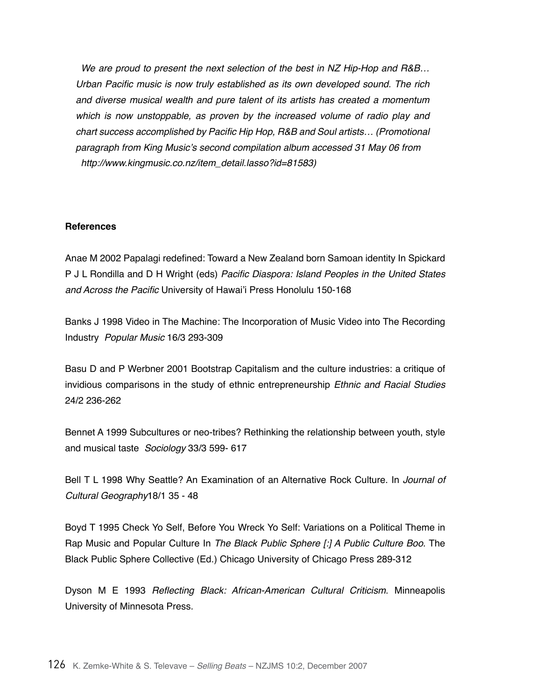We are proud to present the next selection of the best in NZ Hip-Hop and R&B... Urban Pacific music is now truly established as its own developed sound. The rich and diverse musical wealth and pure talent of its artists has created a momentum which is now unstoppable, as proven by the increased volume of radio play and chart success accomplished by Pacific Hip Hop, R&B and Soul artists… (Promotional paragraph from King Music's second compilation album accessed 31 May 06 from http://www.kingmusic.co.nz/item\_detail.lasso?id=81583)

### **References**

Anae M 2002 Papalagi redefined: Toward a New Zealand born Samoan identity In Spickard P J L Rondilla and D H Wright (eds) Pacific Diaspora: Island Peoples in the United States and Across the Pacific University of Hawai'i Press Honolulu 150-168

Banks J 1998 Video in The Machine: The Incorporation of Music Video into The Recording Industry Popular Music 16/3 293-309

Basu D and P Werbner 2001 Bootstrap Capitalism and the culture industries: a critique of invidious comparisons in the study of ethnic entrepreneurship *Ethnic and Racial Studies* 24/2 236-262

Bennet A 1999 Subcultures or neo-tribes? Rethinking the relationship between youth, style and musical taste Sociology 33/3 599- 617

Bell T L 1998 Why Seattle? An Examination of an Alternative Rock Culture. In *Journal of*  Cultural Geography18/1 35 - 48

Boyd T 1995 Check Yo Self, Before You Wreck Yo Self: Variations on a Political Theme in Rap Music and Popular Culture In The Black Public Sphere [:] A Public Culture Boo. The Black Public Sphere Collective (Ed.) Chicago University of Chicago Press 289-312

Dyson M E 1993 Reflecting Black: African-American Cultural Criticism. Minneapolis University of Minnesota Press.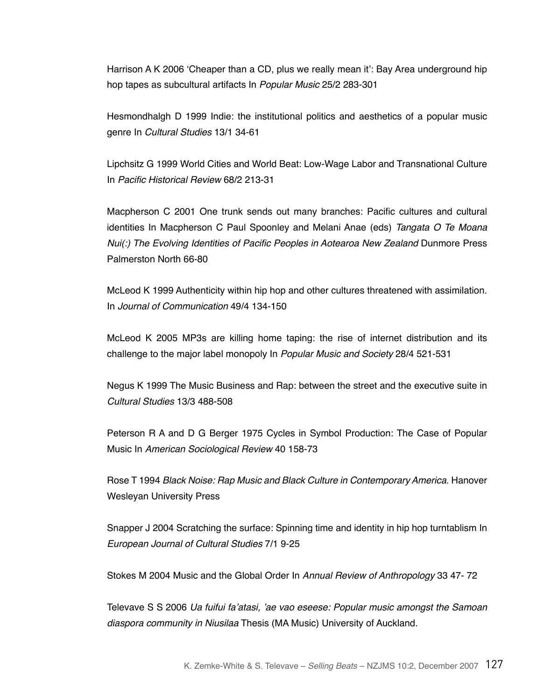Harrison A K 2006 'Cheaper than a CD, plus we really mean it': Bay Area underground hip hop tapes as subcultural artifacts In Popular Music 25/2 283-301

Hesmondhalgh D 1999 Indie: the institutional politics and aesthetics of a popular music genre In *Cultural Studies* 13/1 34-61

Lipchsitz G 1999 World Cities and World Beat: Low-Wage Labor and Transnational Culture In Pacific Historical Review 68/2 213-31

Macpherson C 2001 One trunk sends out many branches: Pacific cultures and cultural identities In Macpherson C Paul Spoonley and Melani Anae (eds) Tangata O Te Moana Nui(:) The Evolving Identities of Pacific Peoples in Aotearoa New Zealand Dunmore Press Palmerston North 66-80

McLeod K 1999 Authenticity within hip hop and other cultures threatened with assimilation. In *Journal of Communication* 49/4 134-150

McLeod K 2005 MP3s are killing home taping: the rise of internet distribution and its challenge to the major label monopoly In Popular Music and Society 28/4 521-531

Negus K 1999 The Music Business and Rap: between the street and the executive suite in *Cultural Studies* 13/3 488-508

Peterson R A and D G Berger 1975 Cycles in Symbol Production: The Case of Popular Music In American Sociological Review 40 158-73

Rose T 1994 Black Noise: Rap Music and Black Culture in Contemporary America. Hanover Wesleyan University Press

Snapper J 2004 Scratching the surface: Spinning time and identity in hip hop turntablism In *European Journal of Cultural Studies* 7/1 9-25

Stokes M 2004 Music and the Global Order In Annual Review of Anthropology 33 47- 72

Televave S S 2006 Ua fuifui fa'atasi, 'ae vao eseese: Popular music amongst the Samoan diaspora community in Niusilaa Thesis (MA Music) University of Auckland.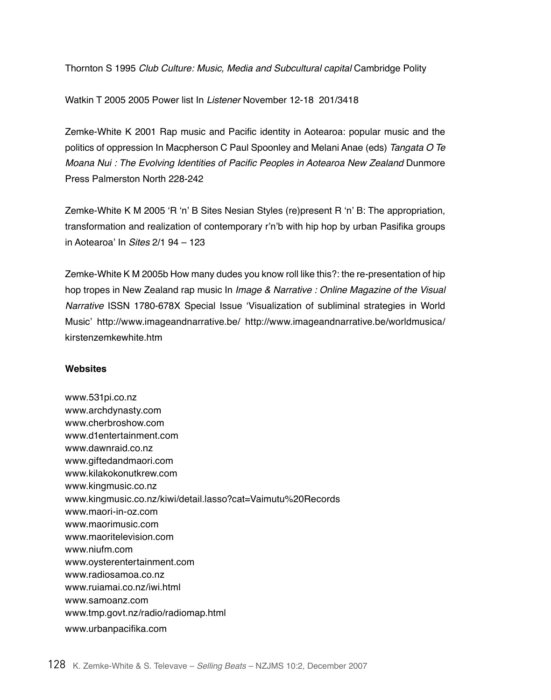Thornton S 1995 Club Culture: Music, Media and Subcultural capital Cambridge Polity

Watkin T 2005 2005 Power list In *Listener* November 12-18 201/3418

Zemke-White K 2001 Rap music and Pacific identity in Aotearoa: popular music and the politics of oppression In Macpherson C Paul Spoonley and Melani Anae (eds) Tangata O Te Moana Nui : The Evolving Identities of Pacific Peoples in Aotearoa New Zealand Dunmore Press Palmerston North 228-242

Zemke-White K M 2005 'R 'n' B Sites Nesian Styles (re)present R 'n' B: The appropriation, transformation and realization of contemporary r'n'b with hip hop by urban Pasifika groups in Aotearoa' In *Sites* 2/1 94 – 123

Zemke-White K M 2005b How many dudes you know roll like this?: the re-presentation of hip hop tropes in New Zealand rap music In Image & Narrative : Online Magazine of the Visual Narrative ISSN 1780-678X Special Issue 'Visualization of subliminal strategies in World Music' http://www.imageandnarrative.be/ http://www.imageandnarrative.be/worldmusica/ kirstenzemkewhite.htm

# **Websites**

www.531pi.co.nz www.archdynasty.com www.cherbroshow.com www.d1entertainment.com www.dawnraid.co.nz www.giftedandmaori.com www.kilakokonutkrew.com www.kingmusic.co.nz www.kingmusic.co.nz/kiwi/detail.lasso?cat=Vaimutu%20Records www.maori-in-oz.com www.maorimusic.com www.maoritelevision.com www.niufm.com www.oysterentertainment.com www.radiosamoa.co.nz www.ruiamai.co.nz/iwi.html www.samoanz.com www.tmp.govt.nz/radio/radiomap.html www.urbanpacifika.com